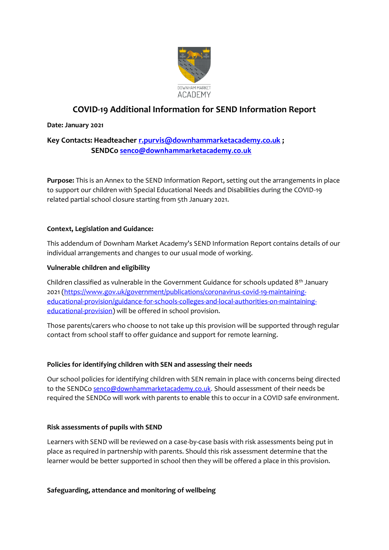

# **COVID-19 Additional Information for SEND Information Report**

### **Date: January 2021**

# **Key Contacts: Headteacher [r.purvis@downhammarketacademy.co.uk](mailto:r.purvis@downhammarketacademy.co.uk) ; SENDCo [senco@downhammarketacademy.co.uk](mailto:senco@downhammarketacademy.co.uk)**

**Purpose:** This is an Annex to the SEND Information Report, setting out the arrangements in place to support our children with Special Educational Needs and Disabilities during the COVID-19 related partial school closure starting from 5th January 2021.

# **Context, Legislation and Guidance:**

This addendum of Downham Market Academy's SEND Information Report contains details of our individual arrangements and changes to our usual mode of working.

# **Vulnerable children and eligibility**

Children classified as vulnerable in the Government Guidance for schools updated  $8<sup>th</sup>$  January 2021 [\(https://www.gov.uk/government/publications/coronavirus-covid-19-maintaining](https://www.gov.uk/government/publications/coronavirus-covid-19-maintaining-educational-provision/guidance-for-schools-colleges-and-local-authorities-on-maintaining-educational-provision)[educational-provision/guidance-for-schools-colleges-and-local-authorities-on-maintaining](https://www.gov.uk/government/publications/coronavirus-covid-19-maintaining-educational-provision/guidance-for-schools-colleges-and-local-authorities-on-maintaining-educational-provision)[educational-provision\)](https://www.gov.uk/government/publications/coronavirus-covid-19-maintaining-educational-provision/guidance-for-schools-colleges-and-local-authorities-on-maintaining-educational-provision) will be offered in school provision.

Those parents/carers who choose to not take up this provision will be supported through regular contact from school staff to offer guidance and support for remote learning.

### **Policies for identifying children with SEN and assessing their needs**

Our school policies for identifying children with SEN remain in place with concerns being directed to the SENDCo [senco@downhammarketacademy.co.uk.](mailto:senco@downhammarketacademy.co.uk) Should assessment of their needs be required the SENDCo will work with parents to enable this to occur in a COVID safe environment.

### **Risk assessments of pupils with SEND**

Learners with SEND will be reviewed on a case-by-case basis with risk assessments being put in place as required in partnership with parents. Should this risk assessment determine that the learner would be better supported in school then they will be offered a place in this provision.

### **Safeguarding, attendance and monitoring of wellbeing**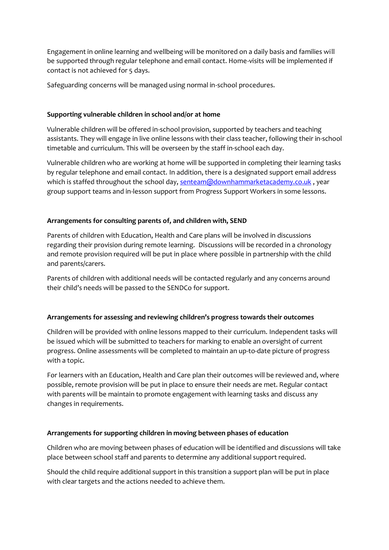Engagement in online learning and wellbeing will be monitored on a daily basis and families will be supported through regular telephone and email contact. Home-visits will be implemented if contact is not achieved for 5 days.

Safeguarding concerns will be managed using normal in-school procedures.

### **Supporting vulnerable children in school and/or at home**

Vulnerable children will be offered in-school provision, supported by teachers and teaching assistants. They will engage in live online lessons with their class teacher, following their in-school timetable and curriculum. This will be overseen by the staff in-school each day.

Vulnerable children who are working at home will be supported in completing their learning tasks by regular telephone and email contact. In addition, there is a designated support email address which is staffed throughout the school day[, senteam@downhammarketacademy.co.uk](mailto:senteam@downhammarketacademy.co.uk), year group support teams and in-lesson support from Progress Support Workers in some lessons.

# **Arrangements for consulting parents of, and children with, SEND**

Parents of children with Education, Health and Care plans will be involved in discussions regarding their provision during remote learning. Discussions will be recorded in a chronology and remote provision required will be put in place where possible in partnership with the child and parents/carers.

Parents of children with additional needs will be contacted regularly and any concerns around their child's needs will be passed to the SENDCo for support.

# **Arrangements for assessing and reviewing children's progress towards their outcomes**

Children will be provided with online lessons mapped to their curriculum. Independent tasks will be issued which will be submitted to teachers for marking to enable an oversight of current progress. Online assessments will be completed to maintain an up-to-date picture of progress with a topic.

For learners with an Education, Health and Care plan their outcomes will be reviewed and, where possible, remote provision will be put in place to ensure their needs are met. Regular contact with parents will be maintain to promote engagement with learning tasks and discuss any changes in requirements.

# **Arrangements for supporting children in moving between phases of education**

Children who are moving between phases of education will be identified and discussions will take place between school staff and parents to determine any additional support required.

Should the child require additional support in this transition a support plan will be put in place with clear targets and the actions needed to achieve them.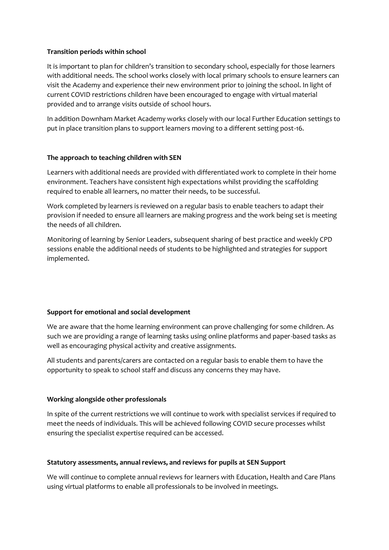#### **Transition periods within school**

It is important to plan for children's transition to secondary school, especially for those learners with additional needs. The school works closely with local primary schools to ensure learners can visit the Academy and experience their new environment prior to joining the school. In light of current COVID restrictions children have been encouraged to engage with virtual material provided and to arrange visits outside of school hours.

In addition Downham Market Academy works closely with our local Further Education settings to put in place transition plans to support learners moving to a different setting post-16.

#### **The approach to teaching children with SEN**

Learners with additional needs are provided with differentiated work to complete in their home environment. Teachers have consistent high expectations whilst providing the scaffolding required to enable all learners, no matter their needs, to be successful.

Work completed by learners is reviewed on a regular basis to enable teachers to adapt their provision if needed to ensure all learners are making progress and the work being set is meeting the needs of all children.

Monitoring of learning by Senior Leaders, subsequent sharing of best practice and weekly CPD sessions enable the additional needs of students to be highlighted and strategies for support implemented.

### **Support for emotional and social development**

We are aware that the home learning environment can prove challenging for some children. As such we are providing a range of learning tasks using online platforms and paper-based tasks as well as encouraging physical activity and creative assignments.

All students and parents/carers are contacted on a regular basis to enable them to have the opportunity to speak to school staff and discuss any concerns they may have.

#### **Working alongside other professionals**

In spite of the current restrictions we will continue to work with specialist services if required to meet the needs of individuals. This will be achieved following COVID secure processes whilst ensuring the specialist expertise required can be accessed.

#### **Statutory assessments, annual reviews, and reviews for pupils at SEN Support**

We will continue to complete annual reviews for learners with Education, Health and Care Plans using virtual platforms to enable all professionals to be involved in meetings.